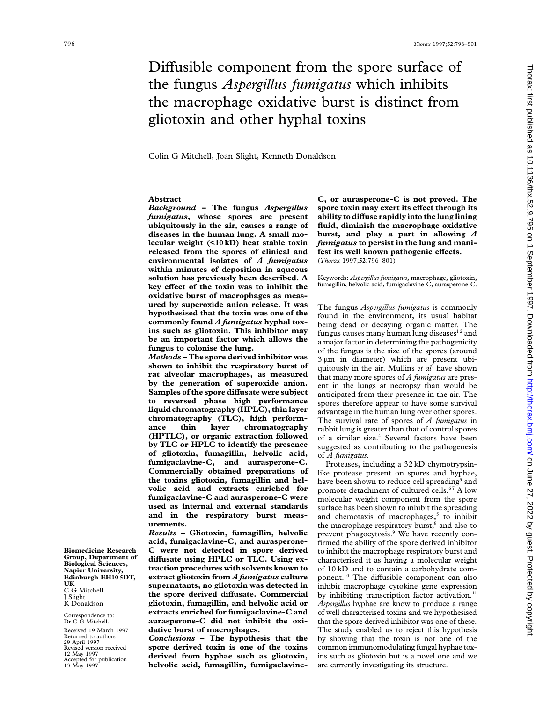# Diffusible component from the spore surface of the fungus *Aspergillus fumigatus* which inhibits the macrophage oxidative burst is distinct from gliotoxin and other hyphal toxins

Colin G Mitchell, Joan Slight, Kenneth Donaldson

*fumigatus***, whose spores are present ability to diffuse rapidly into the lung lining ubiquitously in the air, causes a range of fluid, diminish the macrophage oxidative diseases in the human lung. A small mo- burst, and play a part in allowing** *A* **lecular weight (<10 kD) heat stable toxin** *fumigatus* **to persist in the lung and manireleased from the spores of clinical and fest its well known pathogenic effects.**<br>**environmental isolates of A fumigatus** (Thorax 1997;52:796-801) **environmental isolates of** *A fumigatus* **within minutes of deposition in aqueous solution has previously been described. A** Keywords: *Aspergillus fumigatus*, macrophage, gliotoxin, key effect of the toxin was to inhibit the fumagillin, helvolic acid, fumigaclavine-C, aurasperone-C. key effect of the toxin was to inhibit the **oxidative burst of macrophages as measured by superoxide anion release. It was** The fungus *Aspergillus fumigatus* is commonly **hypothesised that the toxin was one of the** found in the environment, its usual habitat **commonly found** *A fumigatus* **hyphal tox-**

rat alveolar macrophages, as measured<br>by the generation of superoxide anion.<br>Samples of the spore diffusate were subject<br>to reversed phase high performance<br>liquid chromatography (HPLC), thin layer<br>chromatography (TLC), hi **by TLC or HPLC to identify the presence** suggested as contributing to the pathogenesis **of gliotoxin, fumagillin, helvolic acid,** of *A fumigatus*. **fumigaclavine-C, and aurasperone-C.** Proteases, including a 32 kD chymotrypsin- **Commercially obtained preparations of** like protease present on spores and hyphae, **the toxins gliotoxin, fumagillin and hel-** have been shown to reduce cell spreading<sup>5</sup> and **volic** acid and extracts enriched for promote detachment of cultured cells <sup>67</sup> A low **fumigaclavine-C and aurasperone-C were** molecular weight component from the spore used as internal and external standards surface has been shown to inhibit the spreading **used as internal and external standards** surface has been shown to inhibit the spreading and in the respiratory burst meas- and chemotaxis of macrophages.<sup>5</sup> to inhibit **and in the respiratory burst meas-** and chemotaxis of macrophages,<sup>5</sup> to inhibit **urements.** 

**acid, fumigaclavine-C, and aurasperone-** firmed the ability of the spore derived inhibitor **C** were not detected in spore derived to inhibit the macrophage respiratory burst and Biomedicine Research C were not detected in spore derived to inhibit the macrophage respiratory burst and Group, Department of diffusate using HPLC or TLC. Using ex-<br>Biological Sciences, traction procedures with solvents k **Napier University, traction procedures with solvents known to** of 10 kD and to contain a carbohydrate com-<br>**Edinburgh EH10 SDT,** extract gliotoxin from *A fumigatus* culture ponent.<sup>10</sup> The diffusible component can also **UK**<br> **Supernatants, no gliotoxin was detected in** inhibit macrophage cytokine gene expression<br>
J Slight<br>
K Donaldson<br> **K** Donaldson<br> **R** Donaldson<br> **R** Donaldson<br> **R** Donaldson<br> **R** Donaldson **Extracts enriched for fumigaclavine-C and** of well characterised toxins and we hypothesised Dr C G Mitchell.<br>Dr C G Mitchell. **aurasperone-C did not inhibit the oxi-** that the spore derived inhibitor was one of these.

Revised version received **spore derived toxin is one of the toxins** common immunomodulating fungal hyphae tox-<br>
12 May 1997 **derived from hyphae such as gliotoxin,** ins such as gliotoxin but is a novel one and we<br>
13 May 1 helvolic acid, fumagillin, fumigaclavine-

**Abstract C, or aurasperone-C is not proved. The** *Background* **– The fungus** *Aspergillus* **spore toxin may exert its effect through its**

be an important factor which allows the<br>fungus to colonise the lung.<br>*Methods* – The spore derived inhibitor was<br>shown to inhibit the respiratory burst of<br>rat alveolar macrophages, as measured that many more spores of 4 f **chromatography** (ILC), high perform-<br>
ance thin layer chromatography rabbit lung is greater than that of control spores<br> **(HPTLC), or organic extraction followed** of a similar size.<sup>4</sup> Several factors have been<br>
by TLC o

promote detachment of cultured cells.<sup>67</sup> A low **urements.** the macrophage respiratory burst,<sup>8</sup> and also to **Results – Gliotoxin, fumagillin, helvolic** prevent phagocytosis.<sup>9</sup> We have recently conprevent phagocytosis.<sup>9</sup> We have recently con-Aspergillus hyphae are know to produce a range **aurasperone-C did not inhibit the oxi-** that the spore derived inhibitor was one of these.<br> **dative burst of macrophages.** The study enabled us to reject this hypothesis Received 19 March 1997 **dative burst of macrophages.** The study enabled us to reject this hypothesis Returned to authors **Conclusions – The hypothesis that the** by showing that the toxin is not one of the Returned to authors *Conclusions* **– The hypothesis that the** by showing that the toxin is not one of the 29 April 1997<br>29 April 1997<br>Revised version received **spore derived toxin is one of the toxins** common immunomodulat **12 derived from hyphae such as gliotoxin,** ins such as gliotoxin but is a novel one and we helvolic acid, fumagillin, fumigaclavine-<br>nector-publication is structure.

UK<br>C G Mitchell<br>J Slight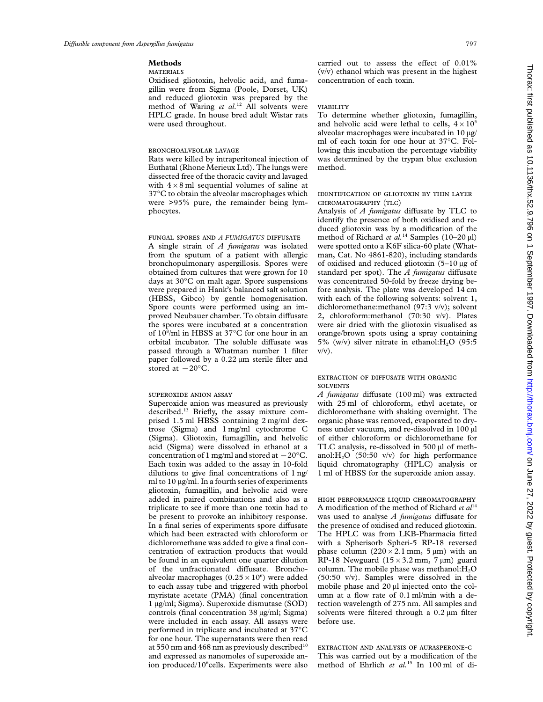Oxidised gliotoxin, helvolic acid, and fuma- concentration of each toxin. gillin were from Sigma (Poole, Dorset, UK) and reduced gliotoxin was prepared by the method of Waring et al.<sup>12</sup> All solvents were VIABILITY HPLC grade. In house bred adult Wistar rats To determine whether gliotoxin, fumagillin,

Euthatal (Rhone Merieux Ltd). The lungs were method. dissected free of the thoracic cavity and lavaged with  $4 \times 8$  ml sequential volumes of saline at 37°C to obtain the alveolar macrophages which IDENTIFICATION OF GLIOTOXIN BY THIN LAYER were  $>95\%$  pure, the remainder being lym- CHROMATOGRAPHY (TLC) phocytes. Analysis of *A fumigatus* diffusate by TLC to

A single strain of *A fumigatus* was isolated from the sputum of a patient with allergic man, Cat. No 4861-820), including standards bronchopulmonary aspergillosis. Spores were of oxidised and reduced gliotoxin  $(5-10 \mu g)$  of obtained from cultures that were grown for 10 standard per spot). The *A fumigatus* diffusate days at 30°C on malt agar. Spore suspensions was concentrated 50-fold by freeze drying bewere prepared in Hank's balanced salt solution fore analysis. The plate was developed 14 cm (HBSS, Gibco) by gentle homogenisation. with each of the following solvents: solvent 1, Spore counts were performed using an im- dichloromethane:methanol (97:3 v/v); solvent proved Neubauer chamber. To obtain diffusate 2, chloroform:methanol (70:30 v/v). Plates the spores were incubated at a concentration were air dried with the gliotoxin visualised as of  $10^8$ /ml in HBSS at 37°C for one hour in an orbital incubator. The soluble diffusate was  $5\%$  (w/v) silver nitrate in ethanol: H<sub>2</sub>O (95:5) passed through a Whatman number 1 filter v/v). paper followed by a 0.22 µm sterile filter and stored at  $-20^{\circ}$ C.

Superoxide anion was measured as previously with 25 ml of chloroform, ethyl acetate, or described.<sup>13</sup> Briefly, the assay mixture com- dichloromethane with shaking overnight. The prised 1.5 ml HBSS containing 2 mg/ml dex- organic phase was removed, evaporated to drytrose (Sigma) and 1 mg/ml cytochrome C ness under vacuum, and re-dissolved in 100  $\mu$ l (Sigma). Gliotoxin, fumagillin, and helvolic of either chloroform or dichloromethane for (Sigma). Gliotoxin, fumagillin, and helvolic acid (Sigma) were dissolved in ethanol at a TLC analysis, re-dissolved in 500 µl of methconcentration of 1 mg/ml and stored at  $-20^{\circ}$ C. anol:H<sub>2</sub>O (50:50 v/v) for high performance Each toxin was added to the assay in 10-fold liquid chromatography (HPLC) analysis or Each toxin was added to the assay in 10-fold dilutions to give final concentrations of 1 ng/ 1 ml of HBSS for the superoxide anion assay. ml to  $10 \mu g/ml$ . In a fourth series of experiments gliotoxin, fumagillin, and helvolic acid were added in paired combinations and also as a HIGH PERFORMANCE LIQUID CHROMATOGRAPHY triplicate to see if more than one toxin had to A modification of the method of Richard *et al*<sup>14</sup> be present to provoke an inhibitory response. was used to analyse *A fumigatus* diffusate for In a final series of experiments spore diffusate the presence of oxidised and reduced gliotoxin. which had been extracted with chloroform or The HPLC was from LKB-Pharmacia fitted dichloromethane was added to give a final con- with a Spherisorb Spheri-5 RP-18 reversed centration of extraction products that would phase column ( $220 \times 2.1$  mm,  $5 \mu m$ ) with an be found in an equivalent one quarter dilution RP-18 Newguard ( $15 \times 3.2$  mm, 7  $\mu$ m) guard of the unfractionated diffusate. Broncho-column. The mobile phase was methanol: H<sub>2</sub>O alveolar macrophages  $(0.25 \times 10^6)$  were added (50:50 v/v). Samples were dissolved in the to each assay tube and triggered with phorbol mobile phase and  $20 \mu$  injected onto the col-<br>myristate acetate (PMA) (final concentration umn at a flow rate of 0.1 ml/min with a demyristate acetate (PMA) (final concentration 1 µg/ml; Sigma). Superoxide dismutase (SOD) tection wavelength of 275 nm. All samples and controls (final concentration 38  $\mu$ g/ml; Sigma) solvents were filtered through a 0.2  $\mu$ m filter were included in each assay. All assays were before use. performed in triplicate and incubated at 37°C for one hour. The supernatants were then read at 550 nm and  $468$  nm as previously described<sup>10</sup> EXTRACTION AND ANALYSIS OF AURASPERONE-C and expressed as nanomoles of superoxide an- This was carried out by a modification of the ion produced/10<sup>6</sup>cells. Experiments were also

**Methods** carried out to assess the effect of 0.01% (v/v) ethanol which was present in the highest

were used throughout.  $\qquad \qquad \qquad$  and helvolic acid were lethal to cells,  $4 \times 10^5$ alveolar macrophages were incubated in  $10 \mu g$ / ml of each toxin for one hour at 37°C. Fol- BRONCHOALVEOLAR LAVAGE lowing this incubation the percentage viability Rats were killed by intraperitoneal injection of was determined by the trypan blue exclusion

identify the presence of both oxidised and reduced gliotoxin was by a modification of the FUNGAL SPORES AND *A FUMIGATUS* DIFFUSATE method of Richard *et al.*<sup>14</sup> Samples (10–20  $\mu$ ) A single strain of *A fumigatus* was isolated were spotted onto a K6F silica-60 plate (Whatorange/brown spots using a spray containing

## EXTRACTION OF DIFFUSATE WITH ORGANIC **SOLVENTS**

*A fumigatus* diffusate (100 ml) was extracted

column. The mobile phase was methanol: $H_2O$ <br>(50:50 v/v). Samples were dissolved in the solvents were filtered through a  $0.2 \,\mu m$  filter

method of Ehrlich et al.<sup>15</sup> In 100 ml of di-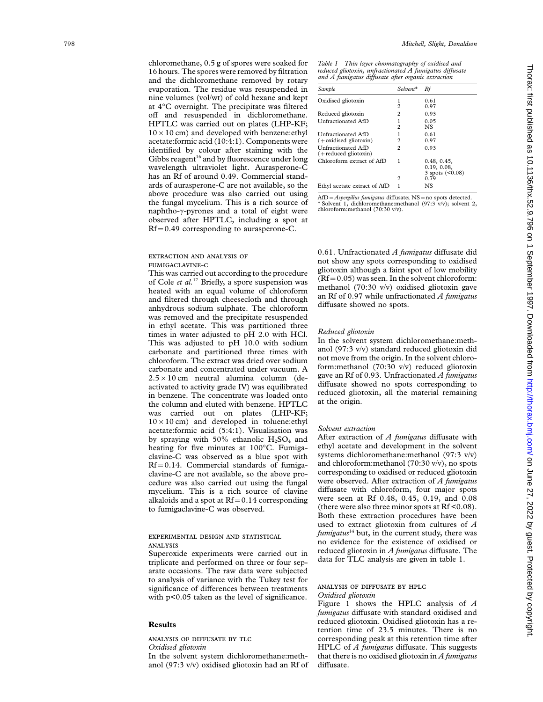chloromethane, 0.5 g of spores were soaked for *Table 1 Thin layer chromatography of oxidised and*<br>16 hours The spores were removed by filtration *reduced gliotoxin, unfractionated A fumigatus diffusate* 16 hours. The spores were removed by filtration reduced gliotoxin, unfractionated A fumigatus diffusion and the dichloromethane removed by rotary  $\frac{and A \ f\mu migatus \ diftuste \ after \ organic \ extraction}{and A \ f\mu migatus \ diffuste \ after \ organic \ extraction}$ evaporation. The residue was resuspended in nine volumes (vol/wt) of cold hexane and kept at  $4^{\circ}$ C overnight. The precipitate was filtered  $2^{0.97}$ off and resuspended in dichloromethane. Reduced gliotoxin 2 0.93 HPTLC was carried out on plates (LHP-KF;  $10 \times 10$  cm) and developed with benzene: ethyl Unfractionated AfD 1 0.61 acetate:formic acid (10:4:1). Components were identified by colour after staining with the Gibbs reagent<sup>16</sup> and by fluorescence under long wavelength ultraviolet light. Aurasperone-C has an Rf of around 0.49. Commercial standards of aurasperone-C are not available, so the above procedure was also carried out using<br>the fungal mycelium. This is a rich source of naphtho- $\gamma$ -pyrones and a total of eight were observed after HPTLC, including a spot at Rf =0.49 corresponding to aurasperone-C.

was removed and the precipitate resuspended<br>in ethyl acetate. This was partitioned three in ethyl acetate. This was partitioned three *Reduced gliotoxin* times in water adjusted to pH 2.0 with HCl. the column and eluted with benzene. HPTLC was carried out on plates (LHP-KF;  $10 \times 10$  cm) and developed in toluene: ethyl acetate:formic acid (5:4:1). Visualisation was *Solvent extraction* by spraying with 50% ethanolic  $H_2SO_4$  and After extraction of *A fumigatus* di heating for five minutes at 100 $^{\circ}$ C. Fumiga- ethyl acetate and development in the solvent clavine-C was observed as a blue spot with systems dichloromethane:methanol (97:3 v/v)  $Rf = 0.14$ . Commercial standards of fumigaclavine-C are not available, so the above  $\frac{1}{2}$  corresponding to oxidised or reduced gliotoxin cedure was also carried out using the fungal were observed. After extraction of A fumigatus cedure was also carried out using the fungal mycelium. This is a rich source of clavine alkaloids and a spot at  $Rf = 0.14$  corresponding

arate occasions. The raw data were subjected to analysis of variance with the Tukey test for significance of differences between treatments  $\frac{ANALYSIS}{OX}$  OF DIFFUSATE BY HPLC with  $n \le 0.05$  taken as the level of significance  $OX$  *Oxidised gliotoxin* with p<0.05 taken as the level of significance.

anol (97:3 v/v) oxidised gliotoxin had an Rf of

| Sample                                         | Solvent*            | Rf                         |
|------------------------------------------------|---------------------|----------------------------|
| Oxidised gliotoxin                             | $\mathfrak{D}$      | 0.61<br>0.97               |
| Reduced gliotoxin                              | 2                   | 0.93                       |
| Unfractionated AfD                             | ı<br>$\mathfrak{D}$ | 0.05<br>NS.                |
| Unfractionated AfD<br>$(+$ oxidised gliotoxin) | $\mathfrak{D}$      | 0.61<br>0.97               |
| Unfractionated AfD<br>$(+$ reduced gliotoxin)  | 2                   | 0.93                       |
| Chloroform extract of AfD                      | 1                   | 0.48, 0.45,<br>0.19, 0.08, |
|                                                | 2                   | 3 spots $(<0.08)$<br>0.79  |
| Ethyl acetate extract of AfD                   |                     | NS                         |

=*Aspergillus fumigatus* di ffusate; NS <sup>=</sup>no spots detected. the fungal mycelium. This is a rich source of <sup>∗</sup> Solvent 1, dichloromethane:methanol (97:3 v/v); solvent 2,

0.61. Unfractionated *A fumigatus* di EXTRACTION AND ANALYSIS OF 0.61. Unfractionated *A fumigatus* diffusate did<br>
not show any spots corresponding to oxidised<br>
This was carried out according to the procedure<br>
of Cole *et al.*<sup>17</sup> Briefly, a spore suspension

This was adjusted to pH 10.0 with sodium In the solvent system dichloromethane:meth-<br>carbonate and partitioned three times with anol (97:3 v/v) standard reduced gliotoxin did carbonate and partitioned three times with anol (97:3 v/v) standard reduced gliotoxin did chloroform. The extract was dried over sodium not move from the origin. In the solvent chloro-<br>carbonate and concentrated under vac carbonate and concentrated under vacuum. A form:methanol (70:30 v/v) reduced gliotoxin<br>2.5 x 10 cm neutral alumina column (de gave an Rf of 0.93. Unfractionated A fumigatus  $2.5 \times 10$  cm neutral alumina column (de-<br>activated to activity grade IV) was equilibrated<br>in benzene. The concentrate was loaded onto<br>the column and eluted with benzene HPTI C at the origin.

After extraction of  $A$  fumigatus diffusate with and chloroform:methanol (70:30 v/v), no spots diffusate with chloroform, four major spots were seen at Rf 0.48, 0.45, 0.19, and 0.08 (there were also three minor spots at Rf <  $0.08$ ). to fumigaclavine-C was observed. (there were also three minor spots at KI <0.08).<br>Both these extraction procedures have been used to extract gliotoxin from cultures of *A* **EXPERIMENTAL DESIGN AND STATISTICAL** *fumigatus*<sup>14</sup> but, in the current study, there was no evidence for the existence of oxidised or<br>ANALYSIS Superoxide experiments were carried out in reduced gliotoxin in *A fumigatus* diffusate. The Superoxide experiments were carried out in triplicate and performed on three or four sep-<br>triplicate and performed on three or fo

Figure 1 shows the HPLC analysis of *A fumigatus* di ffusate with standard oxidised and **Results**<br> **Results**<br> **Results**<br> **Results**<br> **Results**<br> **Results**<br> **Results**<br> **Results**<br> **Results**<br> **Results**<br> **Results**<br> **Results**<br> **Results**<br> **Results**<br> **Results**<br> **Refulted**<br> **Results**<br> **Refulted**<br> **Results**<br> **Refulted**<br> ANALYSIS OF DIFFUSATE BY TLC corresponding peak at this retention time after *Oxidised gliotoxin* HPLC of *A fumigatus* di ffusate. This suggests In the solvent system dichloromethane:meth- that there is no oxidised gliotoxin in *A fumigatus* diffusate.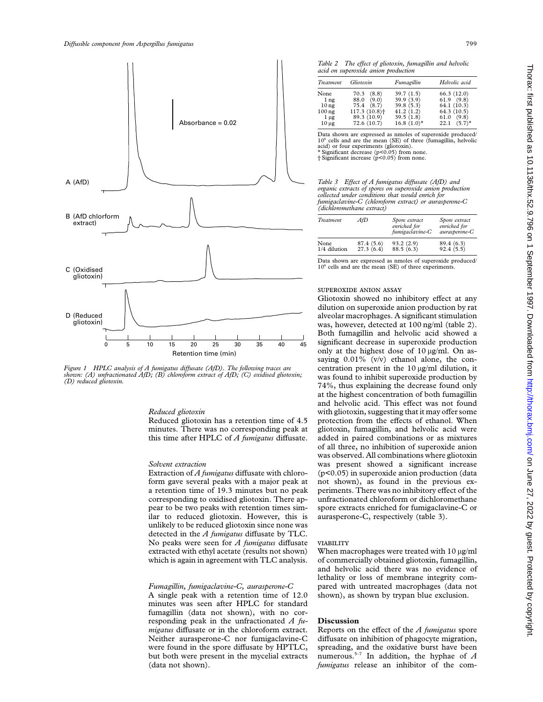

Figure 1 HPLC analysis of A fumigatus diffusate (AfD). The following traces are centration present in the 10 µg/ml dilution, it shown: (A) unfractionated AfD; (B) chloroform extract of AfD; (C) oxidised gliotoxin; was foun

minutes. There was no corresponding peak at gliotoxin, fumagillin, and helvolic acid were

form gave several peaks with a major peak at not shown), as found in the previous exa retention time of 19.3 minutes but no peak periments. There was no inhibitory effect of the corresponding to oxidised gliotoxin. There ap- unfractionated chloroform or dichloromethane pear to be two peaks with retention times sim- spore extracts enriched for fumigaclavine-C or ilar to reduced gliotoxin. However, this is aurasperone-C, respectively (table 3). unlikely to be reduced gliotoxin since none was detected in the *A fumigatus* diffusate by TLC. No peaks were seen for *A fumigatus* diffusate extracted with ethyl acetate (results not shown) When macrophages were treated with  $10 \mu g/ml$ 

A single peak with a retention time of 12.0 shown), as shown by trypan blue exclusion. minutes was seen after HPLC for standard fumagillin (data not shown), with no corresponding peak in the unfractionated *A fu-* **Discussion** *migatus* diffusate or in the chloroform extract. Reports on the effect of the *A fumigatus* spore Neither aurasperone-C nor fumigaclavine-C diffusate on inhibition of phagocyte migration, were found in the spore diffusate by HPTLC, spreading, and the oxidative burst have been<br>but both were present in the mycelial extracts numerous.<sup>5-7</sup> In addition, the hyphae of A but both were present in the mycelial extracts (data not shown). *fumigatus* release an inhibitor of the com-

| Treatment                                                                                   | Gliotoxin                                                                                                | Fumagillin                                                                     | Helvolic acid                                                                              |
|---------------------------------------------------------------------------------------------|----------------------------------------------------------------------------------------------------------|--------------------------------------------------------------------------------|--------------------------------------------------------------------------------------------|
| None<br>1 <sub>ng</sub><br>10 <sub>ng</sub><br>100 <sub>ng</sub><br>$1 \mu$ g<br>$10 \mu$ g | 70.3<br>(8.8)<br>(9.0)<br>88.0<br>75.4 (8.7)<br>$117.3(10.8)$ <sup>+</sup><br>89.3 (10.9)<br>72.6 (10.7) | 39.7(1.5)<br>39.9 (3.9)<br>39.8(5.3)<br>41.2(1.2)<br>39.5(1.8)<br>$16.8(1.0)*$ | 66.3(12.0)<br>$61.9$ $(9.8)$<br>64.1 (10.3)<br>64.3(10.5)<br>61.0(9.8)<br>$22.1$ $(5.7)^*$ |

Data shown are expressed as nmoles of superoxide produced/ 10<sup>6</sup> cells and are the mean (SE) of three (fumagillin, helvolic acid) or four experiments (gliotoxin). ∗ Significant decrease (p<0.05) from none.

† Significant increase (p<0.05) from none.

*Table 3 Effect of A fumigatus diffusate (AfD) and organic extracts of spores on superoxide anion production collected under conditions that would enrich for fumigaclavine-C (chloroform extract) or aurasperone-C (dichloromethane extract)*

| Treatment            | AfD                     | Spore extract<br>enriched for<br>fumigaclavine-C | Spore extract<br>enriched for<br>aurasperone-C |
|----------------------|-------------------------|--------------------------------------------------|------------------------------------------------|
| None<br>1/4 dilution | 87.4 (5.6)<br>27.3(6.4) | 93.2(2.9)<br>88.5(6.3)                           | 89.4 (6.3)<br>92.4(5.5)                        |

Data shown are expressed as nmoles of superoxide produced/  $10<sup>6</sup>$  cells and are the mean (SE) of three experiments.

### SUPEROXIDE ANION ASSAY

Gliotoxin showed no inhibitory effect at any dilution on superoxide anion production by rat alveolar macrophages. A significant stimulation was, however, detected at 100 ng/ml (table 2). Both fumagillin and helvolic acid showed a significant decrease in superoxide production only at the highest dose of  $10 \mu g/ml$ . On assaying 0.01% (v/v) ethanol alone, the conat the highest concentration of both fumagillin and helvolic acid. This effect was not found *Reduced gliotoxin* with gliotoxin, suggesting that it may offer some Reduced gliotoxin has a retention time of 4.5 protection from the effects of ethanol. When this time after HPLC of *A fumigatus* diffusate. added in paired combinations or as mixtures of all three, no inhibition of superoxide anion was observed. All combinations where gliotoxin *Solvent extraction* was present showed a significant increase Extraction of *A fumigatus* diffusate with chloro- ( $p<0.05$ ) in superoxide anion production (data

which is again in agreement with TLC analysis. of commercially obtained gliotoxin, fumagillin, and helvolic acid there was no evidence of lethality or loss of membrane integrity com-*Fumagillin, fumigaclavine-C, aurasperone-C* pared with untreated macrophages (data not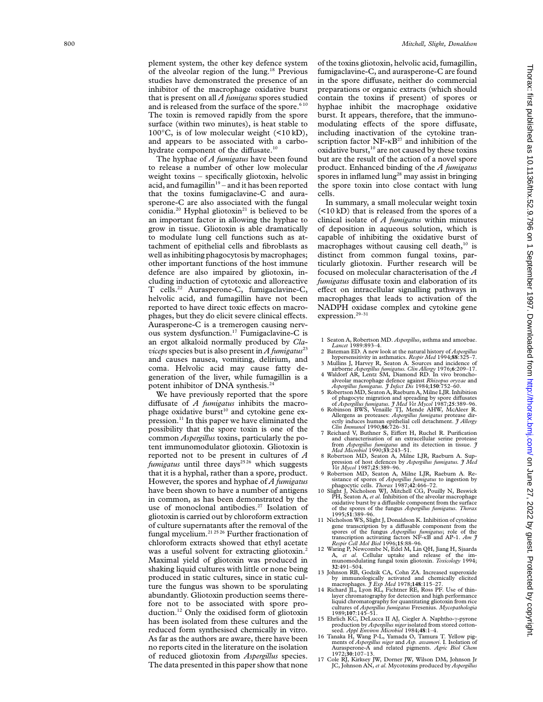studies have demonstrated the presence of an and is released from the surface of the spore.<sup>610</sup> 100 $\degree$ C, is of low molecular weight (<10 kD), hydrate component of the diffusate.<sup>10</sup>

to release a number of other low molecular product. Enhanced binding of the *A fumigatus* weight toxins – specifically gliotoxin, helvolic spores in inflamed lung<sup>28</sup> may assist in bringing acid, and fumagillin<sup>19</sup> – and it has been reported the spore toxin into close contact with lung that the toxins fumigaclavine-C and aura- cells. sperone-C are also associated with the fungal In summary, a small molecular weight toxin conidia.<sup>20</sup> Hyphal gliotoxin<sup>21</sup> is believed to be  $\left($  <10 kD) that is released from the spores of a an important factor in allowing the hyphae to clinical isolate of *A fumigatus* within minutes grow in tissue. Gliotoxin is able dramatically of deposition in aqueous solution, which is to modulate lung cell functions such as at- capable of inhibiting the oxidative burst of tachment of epithelial cells and fibroblasts as macrophages without causing cell death, $10$  is well as inhibiting phagocytosis by macrophages; distinct from common fungal toxins, parother important functions of the host immune ticularly gliotoxin. Further research will be defence are also impaired by gliotoxin, including induction of cytotoxic and alloreactive T cells.<sup>22</sup> Aurasperone-C, fumigaclavine-C, helvolic acid, and fumagillin have not been macrophages that leads to activation of the reported to have direct toxic effects on macrophages, but they do elicit severe clinical effects. Aurasperone-C is a tremerogen causing nervous system dysfunction.17 Fumigaclavine-C is an ergot alkaloid normally produced by *Cla*-<br>  $\frac{Lancet 1989:893-4}{2}$ <br>  $\frac{viceps$  species but is also present in *A fumigatus*<sup>23</sup><br>
2 Bateman ED. A new look at the natural history of *Aspergillus*,<br>
2 Bateman ED. A new look and causes nausea, vomiting, delirium, and<br>causes have a subset of the liver, while furnagillin is a<br>generation of the liver, while furnagillin is a<br>pergulas function A Sources and noise of the liver, while furnagillin is

We have previously reported that the spore diffusate of  $A$  fumigatus inhibits the macro-We have previously reported that the spore<br>
diffusate of *A fumigatus* inhibits the macro-<br>
phage oxidative burst<sup>10</sup> and cytokine gene ex-<br>
pression.<sup>11</sup> In this paper we have eliminated the<br>
pression.<sup>11</sup> In this paper pression.<sup>11</sup> In this paper we have eliminated the<br>possibility that the spore toxin is one of the<br>possibility that the spore toxin is one of the<br>possibility  $\frac{Clin\ Inmund\ 1990;86:726-31}{Richard\ V, Bunchard\ V, T\ Richard\ V, Bunchard\ V, Bunchard\ V, Simplr\ Rich$ tent immunomodulator gliotoxin. Gliotoxin is from Aspergillus fumigatus and its detection in tissue. 3<br>reported not to be present in cultures of  $A$  a Red Microbial 1990;33:243-51. *fumigatus* until three days<sup>2526</sup> which suggests pression of host defences by Aspergillus fumigatus. *J Med*<br>that it is a hyphal, rather than a spore, product. 9 Robertson MD, Seaton A, Milne LJR, Raeburn A. Re-However, the spores and hyphae of A fumigatus<br>However, the spores and hyphae of A fumigatus<br>hagocytic cells. Thorax 1987;42:466-72.<br>hagocytic cells of a fumigatus to ingest the spores of Aspegillus fumigatus to ingest been in common, as has been demonstrated by the<br>use of monoclonal antibodies.<sup>27</sup> Isolation of<br>where the spores of the fungus *Aspergillus fumigatus. Thorax*<br>electrorin is corried out by chloroform extraction<br> $1995;51:389-96$ . gliotoxin is carried out by chloroform extraction<br>of the distribution with setting and the supernatants after the removal of the<br>fungal mycelium.<sup>21.25.26</sup> Further fractionation of<br>fungal mycelium.<sup>21.25.26</sup> Further fract fungal mycelium.<sup>21 25 26</sup> Further fractionation of spores of the fungus *Aspergillus fumigatus*; role of the transcription activating factors NF- $\kappa$ B and AP-1. *Am J* celloroform extracts showed that ethyl acetate *Resp* extraction extracting gliotoxin.<sup>2</sup> <sup>12</sup> Waring P, Newcombe N, Edel M, Lin QH, Jiang H, Sjaarda was a useful solvent for extracting gliotoxin.<sup>2</sup> <sup>12</sup> Waring P, Newcombe N, Edel M, Lin QH, Jiang H, Sjaarda Maximal yield of gliotoxin was produced in<br>
Maximal yield of gliotoxin was produced in<br>
shaking liquid cultures with little or none being<br>
produced in static cultures, since in static cul-<br>
by immunologically activated and Ture the fungus was shown to be sporulating macrophages. *J Exp Med* 1978;148:115-27.<br>abundantly. Gliotoxin production seems there-<br>aber chromatography for detection and high performance abundantly. Gliotoxin production seems there—<br>fore not to be associated with spore pro-<br>duction.<sup>12</sup> Only the oxidised form of gliotoxin<br> $\frac{1}{2}$  only the oxidised form of gliotoxin<br> $\frac{1}{2}$  only the oxidised form of gl has been isolated from these cultures and the reduced form synthesised chemically in vitro. reduced form synthesised chemically in vitro.<br>As far as the authors are aware, there have been<br>no reports cited in the literature on the isolation<br>no reports cited in the literature on the isolation<br>ments of Aspergalus mig no reports cited in the literature on the isolation Aurasperone-A and relation of reduced clientaries from *Apparallus* appears. <sup>1972;30:107-13.</sup> of reduced gliotoxin from *Aspergillus* species.<br>The data presented in this paper show that none<br>IC, Johnson AN, *et al.* Mycotoxins produced by *Aspergillus* 

plement system, the other key defence system of the toxins gliotoxin, helvolic acid, fumagillin, of the alveolar region of the lung.<sup>18</sup> Previous fumigaclavine-C, and aurasperone-C are found fumigaclavine-C, and aurasperone-C are found in the spore diffusate, neither do commercial inhibitor of the macrophage oxidative burst preparations or organic extracts (which should that is present on all *A fumigatus* spores studied contain the toxins if present) of spores or and is released from the surface of the spore.<sup>610</sup> hyphae inhibit the macrophage oxidative The toxin is removed rapidly from the spore burst. It appears, therefore, that the immunosurface (within two minutes), is heat stable to modulating effects of the spore diffusate, including inactivation of the cytokine tranand appears to be associated with a carbo- scription factor  $NF$ - $\kappa B^{27}$  and inhibition of the oxidative burst, $10$  are not caused by these toxins The hyphae of *A fumigatus* have been found but are the result of the action of a novel spore the spore toxin into close contact with lung

> focused on molecular characterisation of the A fumigatus diffusate toxin and elaboration of its ffect on intracellular signalling pathways in NADPH oxidase complex and cytokine gene expression.<sup>29-31</sup>

- 
- 
- 
- potent intercophage defence against *Rhizopus oryzae* and<br>*Aspergillus fumigatus. J Infect Dis* 1984;150:752–60.<br><sup>2</sup>5 Robertson MD, Seaton A, Raeburn A, Milne LJR. Inhibition
- 
- 
- 
- 
- 
- 
- 
- 
- 
- 
- 15 Ehrlich KC, DeLucca II AJ, Ciegler A. Naphtho- $\gamma$ -pyrone production by Aspergillus niger isolated from stored cotton-
- 
-